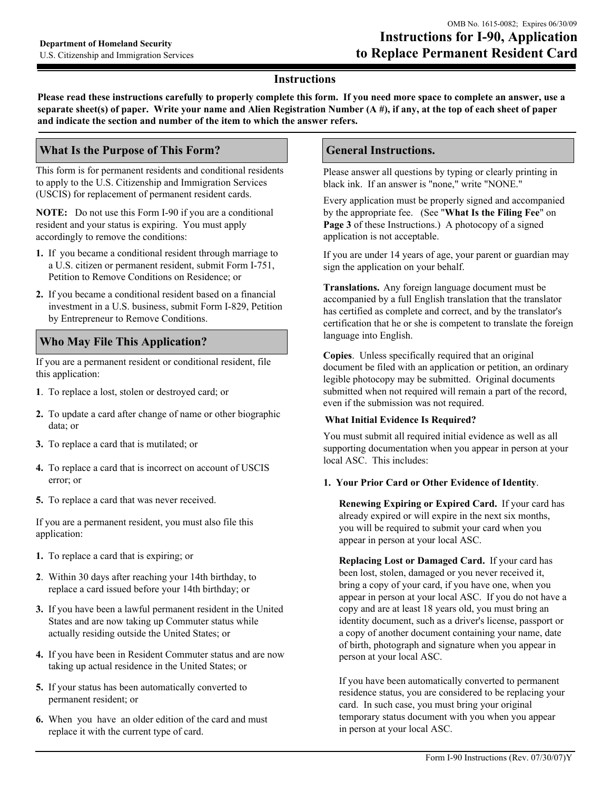### **Instructions**

Please read these instructions carefully to properly complete this form. If you need more space to complete an answer, use a separate sheet(s) of paper. Write your name and Alien Registration Number  $(A \#)$ , if any, at the top of each sheet of paper and indicate the section and number of the item to which the answer refers.

## **What Is the Purpose of This Form?**

This form is for permanent residents and conditional residents to apply to the U.S. Citizenship and Immigration Services (USCIS) for replacement of permanent resident cards.

**NOTE:** Do not use this Form I-90 if you are a conditional resident and your status is expiring. You must apply accordingly to remove the conditions:

- 1. If you became a conditional resident through marriage to a U.S. citizen or permanent resident, submit Form I-751, Petition to Remove Conditions on Residence; or
- 2. If you became a conditional resident based on a financial investment in a U.S. business, submit Form I-829, Petition by Entrepreneur to Remove Conditions.

# **Who May File This Application?**

If you are a permanent resident or conditional resident, file this application:

- 1. To replace a lost, stolen or destroyed card; or
- 2. To update a card after change of name or other biographic data; or
- 3. To replace a card that is mutilated; or
- 4. To replace a card that is incorrect on account of USCIS error: or
- 5. To replace a card that was never received.

If you are a permanent resident, you must also file this application:

- 1. To replace a card that is expiring; or
- 2. Within 30 days after reaching your 14th birthday, to replace a card issued before your 14th birthday; or
- 3. If you have been a lawful permanent resident in the United States and are now taking up Commuter status while actually residing outside the United States; or
- 4. If you have been in Resident Commuter status and are now taking up actual residence in the United States; or
- 5. If your status has been automatically converted to permanent resident; or
- 6. When you have an older edition of the card and must replace it with the current type of card.

## **General Instructions.**

Please answer all questions by typing or clearly printing in black ink. If an answer is "none," write "NONE."

Every application must be properly signed and accompanied by the appropriate fee. (See "What Is the Filing Fee" on Page 3 of these Instructions.) A photocopy of a signed application is not acceptable.

If you are under 14 years of age, your parent or guardian may sign the application on your behalf.

**Translations.** Any foreign language document must be accompanied by a full English translation that the translator has certified as complete and correct, and by the translator's certification that he or she is competent to translate the foreign language into English.

Copies. Unless specifically required that an original document be filed with an application or petition, an ordinary legible photocopy may be submitted. Original documents submitted when not required will remain a part of the record, even if the submission was not required.

#### **What Initial Evidence Is Required?**

You must submit all required initial evidence as well as all supporting documentation when you appear in person at your local ASC. This includes:

#### 1. Your Prior Card or Other Evidence of Identity.

Renewing Expiring or Expired Card. If your card has already expired or will expire in the next six months, you will be required to submit your card when you appear in person at your local ASC.

Replacing Lost or Damaged Card. If your card has been lost, stolen, damaged or you never received it, bring a copy of your card, if you have one, when you appear in person at your local ASC. If you do not have a copy and are at least 18 years old, you must bring an identity document, such as a driver's license, passport or a copy of another document containing your name, date of birth, photograph and signature when you appear in person at your local ASC.

If you have been automatically converted to permanent residence status, you are considered to be replacing your card. In such case, you must bring your original temporary status document with you when you appear in person at your local ASC.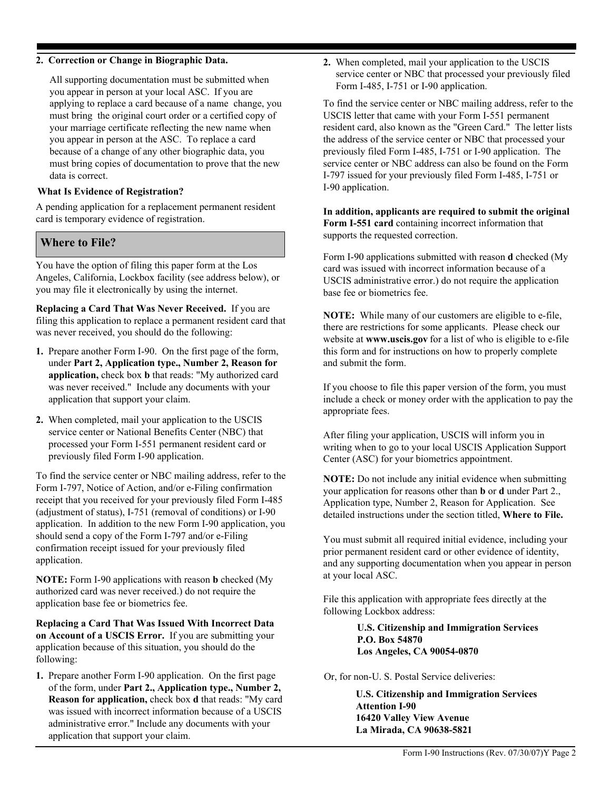#### 2. Correction or Change in Biographic Data.

All supporting documentation must be submitted when you appear in person at your local ASC. If you are applying to replace a card because of a name change, you must bring the original court order or a certified copy of your marriage certificate reflecting the new name when you appear in person at the ASC. To replace a card because of a change of any other biographic data, you must bring copies of documentation to prove that the new data is correct.

#### **What Is Evidence of Registration?**

A pending application for a replacement permanent resident card is temporary evidence of registration.

### **Where to File?**

You have the option of filing this paper form at the Los Angeles, California, Lockbox facility (see address below), or you may file it electronically by using the internet.

Replacing a Card That Was Never Received. If you are filing this application to replace a permanent resident card that was never received, you should do the following:

- 1. Prepare another Form I-90. On the first page of the form, under Part 2, Application type., Number 2, Reason for application, check box b that reads: "My authorized card was never received." Include any documents with your application that support your claim.
- 2. When completed, mail your application to the USCIS service center or National Benefits Center (NBC) that processed your Form I-551 permanent resident card or previously filed Form I-90 application.

To find the service center or NBC mailing address, refer to the Form I-797, Notice of Action, and/or e-Filing confirmation receipt that you received for your previously filed Form I-485 (adjustment of status), I-751 (removal of conditions) or I-90 application. In addition to the new Form I-90 application, you should send a copy of the Form I-797 and/or e-Filing confirmation receipt issued for your previously filed application.

**NOTE:** Form I-90 applications with reason **b** checked (My authorized card was never received.) do not require the application base fee or biometrics fee.

Replacing a Card That Was Issued With Incorrect Data on Account of a USCIS Error. If you are submitting your application because of this situation, you should do the following:

1. Prepare another Form I-90 application. On the first page of the form, under Part 2., Application type., Number 2, **Reason for application, check box d that reads: "My card** was issued with incorrect information because of a USCIS administrative error." Include any documents with your application that support your claim.

2. When completed, mail your application to the USCIS service center or NBC that processed your previously filed Form I-485, I-751 or I-90 application.

To find the service center or NBC mailing address, refer to the USCIS letter that came with your Form I-551 permanent resident card, also known as the "Green Card." The letter lists the address of the service center or NBC that processed your previously filed Form I-485, I-751 or I-90 application. The service center or NBC address can also be found on the Form I-797 issued for your previously filed Form I-485, I-751 or I-90 application.

In addition, applicants are required to submit the original Form I-551 card containing incorrect information that supports the requested correction.

Form I-90 applications submitted with reason d checked (My card was issued with incorrect information because of a USCIS administrative error.) do not require the application base fee or biometrics fee.

NOTE: While many of our customers are eligible to e-file, there are restrictions for some applicants. Please check our website at www.uscis.gov for a list of who is eligible to e-file this form and for instructions on how to properly complete and submit the form.

If you choose to file this paper version of the form, you must include a check or money order with the application to pay the appropriate fees.

After filing your application, USCIS will inform you in writing when to go to your local USCIS Application Support Center (ASC) for your biometrics appointment.

**NOTE:** Do not include any initial evidence when submitting your application for reasons other than **b** or **d** under Part 2., Application type, Number 2, Reason for Application. See detailed instructions under the section titled, Where to File.

You must submit all required initial evidence, including your prior permanent resident card or other evidence of identity, and any supporting documentation when you appear in person at your local ASC.

File this application with appropriate fees directly at the following Lockbox address:

> **U.S. Citizenship and Immigration Services** P.O. Box 54870 Los Angeles, CA 90054-0870

Or, for non-U. S. Postal Service deliveries:

**U.S. Citizenship and Immigration Services Attention I-90** 16420 Valley View Avenue La Mirada, CA 90638-5821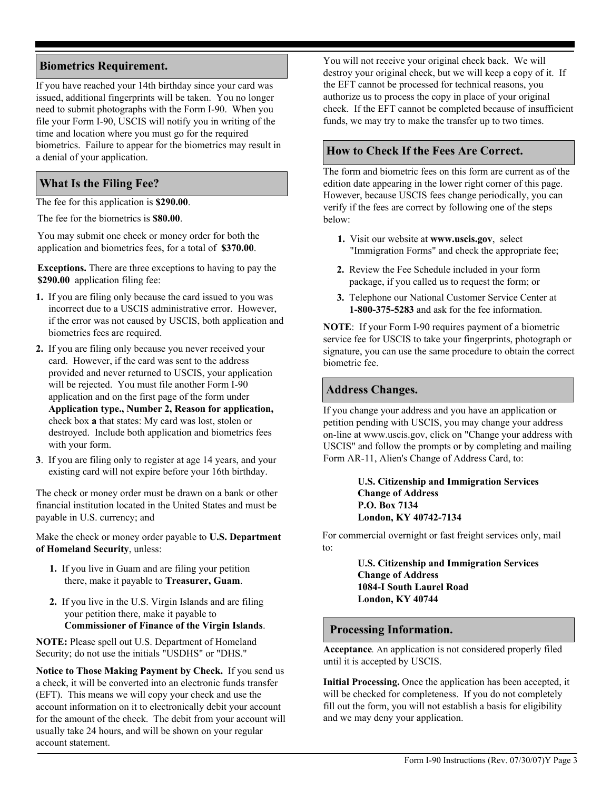# **Biometrics Requirement.**

If you have reached your 14th birthday since your card was issued, additional fingerprints will be taken. You no longer need to submit photographs with the Form I-90. When you file your Form I-90, USCIS will notify you in writing of the time and location where you must go for the required biometrics. Failure to appear for the biometrics may result in a denial of your application.

# **What Is the Filing Fee?**

The fee for this application is \$290.00.

The fee for the biometrics is \$80.00.

You may submit one check or money order for both the application and biometrics fees, for a total of \$370.00.

**Exceptions.** There are three exceptions to having to pay the \$290.00 application filing fee:

- 1. If you are filing only because the card issued to you was incorrect due to a USCIS administrative error. However, if the error was not caused by USCIS, both application and biometrics fees are required.
- 2. If you are filing only because you never received your card. However, if the card was sent to the address provided and never returned to USCIS, your application will be rejected. You must file another Form I-90 application and on the first page of the form under Application type., Number 2, Reason for application, check box a that states: My card was lost, stolen or destroyed. Include both application and biometrics fees with your form.
- 3. If you are filing only to register at age 14 years, and your existing card will not expire before your 16th birthday.

The check or money order must be drawn on a bank or other financial institution located in the United States and must be payable in U.S. currency; and

Make the check or money order payable to U.S. Department of Homeland Security, unless:

- 1. If you live in Guam and are filing your petition there, make it payable to Treasurer, Guam.
- 2. If you live in the U.S. Virgin Islands and are filing your petition there, make it payable to **Commissioner of Finance of the Virgin Islands.**

NOTE: Please spell out U.S. Department of Homeland Security; do not use the initials "USDHS" or "DHS."

Notice to Those Making Payment by Check. If you send us a check, it will be converted into an electronic funds transfer (EFT). This means we will copy your check and use the account information on it to electronically debit your account for the amount of the check. The debit from your account will usually take 24 hours, and will be shown on your regular account statement.

You will not receive your original check back. We will destroy your original check, but we will keep a copy of it. If the EFT cannot be processed for technical reasons, you authorize us to process the copy in place of your original check. If the EFT cannot be completed because of insufficient funds, we may try to make the transfer up to two times.

# How to Check If the Fees Are Correct.

The form and biometric fees on this form are current as of the edition date appearing in the lower right corner of this page. However, because USCIS fees change periodically, you can verify if the fees are correct by following one of the steps below:

- 1. Visit our website at www.uscis.gov, select "Immigration Forms" and check the appropriate fee;
- 2. Review the Fee Schedule included in your form package, if you called us to request the form; or
- 3. Telephone our National Customer Service Center at 1-800-375-5283 and ask for the fee information.

**NOTE:** If your Form I-90 requires payment of a biometric service fee for USCIS to take your fingerprints, photograph or signature, you can use the same procedure to obtain the correct biometric fee.

## **Address Changes.**

If you change your address and you have an application or petition pending with USCIS, you may change your address on-line at www.uscis.gov, click on "Change your address with USCIS" and follow the prompts or by completing and mailing Form AR-11, Alien's Change of Address Card, to:

### **U.S. Citizenship and Immigration Services Change of Address** P.O. Box 7134 London, KY 40742-7134

For commercial overnight or fast freight services only, mail  $\mathsf{to}$ 

> **U.S. Citizenship and Immigration Services Change of Address** 1084-I South Laurel Road **London, KY 40744**

### **Processing Information.**

Acceptance. An application is not considered properly filed until it is accepted by USCIS.

Initial Processing. Once the application has been accepted, it will be checked for completeness. If you do not completely fill out the form, you will not establish a basis for eligibility and we may deny your application.